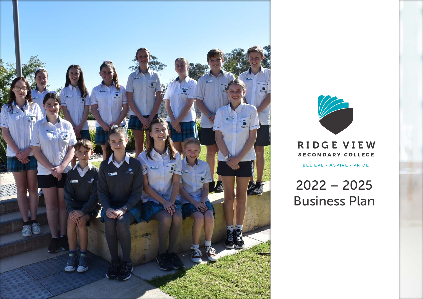



RIDGE VIEW SECONDARY COLLEGE

BELIEVE · ASPIRE · PRIDE

2022 – 2025 Business Plan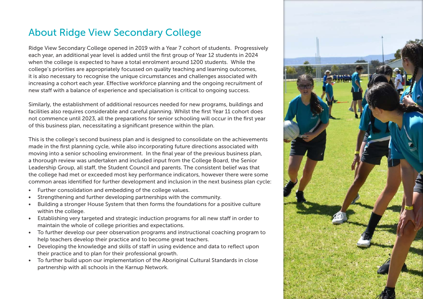## About Ridge View Secondary College

Ridge View Secondary College opened in 2019 with a Year 7 cohort of students. Progressively each year, an additional year level is added until the first group of Year 12 students in 2024 when the college is expected to have a total enrolment around 1200 students. While the college's priorities are appropriately focussed on quality teaching and learning outcomes, it is also necessary to recognise the unique circumstances and challenges associated with increasing a cohort each year. Effective workforce planning and the ongoing recruitment of new staff with a balance of experience and specialisation is critical to ongoing success.

Similarly, the establishment of additional resources needed for new programs, buildings and facilities also requires considerable and careful planning. Whilst the first Year 11 cohort does not commence until 2023, all the preparations for senior schooling will occur in the first year of this business plan, necessitating a significant presence within the plan.

This is the college's second business plan and is designed to consolidate on the achievements made in the first planning cycle, while also incorporating future directions associated with moving into a senior schooling environment. In the final year of the previous business plan, a thorough review was undertaken and included input from the College Board, the Senior Leadership Group, all staff, the Student Council and parents. The consistent belief was that the college had met or exceeded most key performance indicators, however there were some common areas identified for further development and inclusion in the next business plan cycle:

- Further consolidation and embedding of the college values.
- Strengthening and further developing partnerships with the community.
- Building a stronger House System that then forms the foundations for a positive culture within the college.
- Establishing very targeted and strategic induction programs for all new staff in order to maintain the whole of college priorities and expectations.
- To further develop our peer observation programs and instructional coaching program to help teachers develop their practice and to become great teachers.
- Developing the knowledge and skills of staff in using evidence and data to reflect upon their practice and to plan for their professional growth.
- To further build upon our implementation of the Aboriginal Cultural Standards in close partnership with all schools in the Karnup Network.

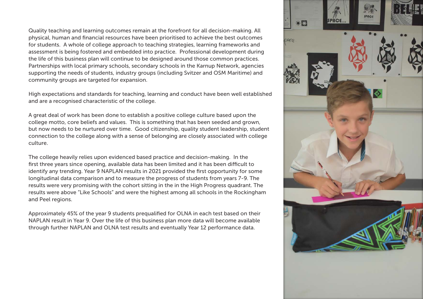Quality teaching and learning outcomes remain at the forefront for all decision-making. All physical, human and financial resources have been prioritised to achieve the best outcomes for students. A whole of college approach to teaching strategies, learning frameworks and assessment is being fostered and embedded into practice. Professional development during the life of this business plan will continue to be designed around those common practices. Partnerships with local primary schools, secondary schools in the Karnup Network, agencies supporting the needs of students, industry groups (including Svitzer and OSM Maritime) and community groups are targeted for expansion.

High expectations and standards for teaching, learning and conduct have been well established and are a recognised characteristic of the college.

A great deal of work has been done to establish a positive college culture based upon the college motto, core beliefs and values. This is something that has been seeded and grown, but now needs to be nurtured over time. Good citizenship, quality student leadership, student connection to the college along with a sense of belonging are closely associated with college culture.

The college heavily relies upon evidenced based practice and decision-making. In the first three years since opening, available data has been limited and it has been difficult to identify any trending. Year 9 NAPLAN results in 2021 provided the first opportunity for some longitudinal data comparison and to measure the progress of students from years 7-9. The results were very promising with the cohort sitting in the in the High Progress quadrant. The results were above "Like Schools" and were the highest among all schools in the Rockingham and Peel regions.

Approximately 45% of the year 9 students prequalified for OLNA in each test based on their NAPLAN result in Year 9. Over the life of this business plan more data will become available through further NAPLAN and OLNA test results and eventually Year 12 performance data.

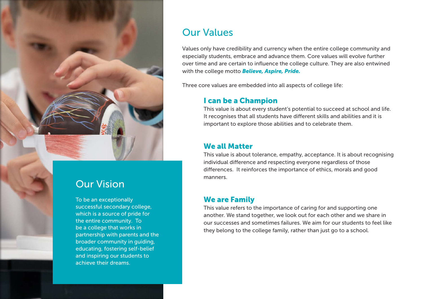

## Our Vision

To be an exceptionally successful secondary college, which is a source of pride for the entire community. To be a college that works in partnership with parents and the broader community in guiding, educating, fostering self-belief and inspiring our students to achieve their dreams.

## Our Values

Values only have credibility and currency when the entire college community and especially students, embrace and advance them. Core values will evolve further over time and are certain to influence the college culture. They are also entwined with the college motto *Believe, Aspire, Pride.*

Three core values are embedded into all aspects of college life:

### I can be a Champion

This value is about every student's potential to succeed at school and life. It recognises that all students have different skills and abilities and it is important to explore those abilities and to celebrate them.

#### We all Matter

This value is about tolerance, empathy, acceptance. It is about recognising individual difference and respecting everyone regardless of those differences. It reinforces the importance of ethics, morals and good manners.

### We are Family

This value refers to the importance of caring for and supporting one another. We stand together, we look out for each other and we share in our successes and sometimes failures. We aim for our students to feel like they belong to the college family, rather than just go to a school.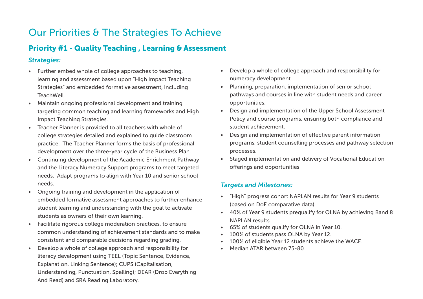## Our Priorities & The Strategies To Achieve

### Priority #1 - Quality Teaching , Learning & Assessment

#### *Strategies:*

- Further embed whole of college approaches to teaching, learning and assessment based upon "High Impact Teaching Strategies" and embedded formative assessment, including TeachWell.
- Maintain ongoing professional development and training targeting common teaching and learning frameworks and High Impact Teaching Strategies.
- Teacher Planner is provided to all teachers with whole of college strategies detailed and explained to guide classroom practice. The Teacher Planner forms the basis of professional development over the three-year cycle of the Business Plan.
- Continuing development of the Academic Enrichment Pathway and the Literacy Numeracy Support programs to meet targeted needs. Adapt programs to align with Year 10 and senior school needs.
- Ongoing training and development in the application of embedded formative assessment approaches to further enhance student learning and understanding with the goal to activate students as owners of their own learning.
- Facilitate rigorous college moderation practices, to ensure common understanding of achievement standards and to make consistent and comparable decisions regarding grading.
- Develop a whole of college approach and responsibility for literacy development using TEEL (Topic Sentence, Evidence, Explanation, Linking Sentence); CUPS (Capitalisation, Understanding, Punctuation, Spelling); DEAR (Drop Everything And Read) and SRA Reading Laboratory.
- Develop a whole of college approach and responsibility for numeracy development.
- Planning, preparation, implementation of senior school pathways and courses in line with student needs and career opportunities.
- Design and implementation of the Upper School Assessment Policy and course programs, ensuring both compliance and student achievement.
- Design and implementation of effective parent information programs, student counselling processes and pathway selection processes.
- Staged implementation and delivery of Vocational Education offerings and opportunities.

#### *Targets and Milestones:*

- "High" progress cohort NAPLAN results for Year 9 students (based on DoE comparative data).
- 40% of Year 9 students prequalify for OLNA by achieving Band 8 NAPLAN results.
- 65% of students qualify for OLNA in Year 10.
- 100% of students pass OLNA by Year 12.
- 100% of eligible Year 12 students achieve the WACE.
- Median ATAR between 75-80.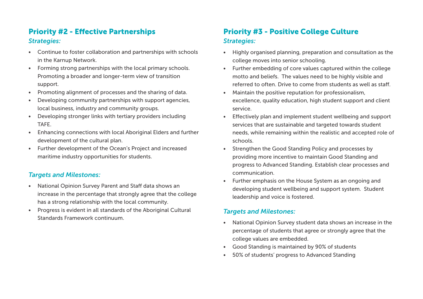### Priority #2 - Effective Partnerships *Strategies:*

- Continue to foster collaboration and partnerships with schools in the Karnup Network.
- Forming strong partnerships with the local primary schools. Promoting a broader and longer-term view of transition support.
- Promoting alignment of processes and the sharing of data.
- Developing community partnerships with support agencies, local business, industry and community groups.
- Developing stronger links with tertiary providers including TAFE.
- Enhancing connections with local Aboriginal Elders and further development of the cultural plan.
- Further development of the Ocean's Project and increased maritime industry opportunities for students.

#### *Targets and Milestones:*

- National Opinion Survey Parent and Staff data shows an increase in the percentage that strongly agree that the college has a strong relationship with the local community.
- Progress is evident in all standards of the Aboriginal Cultural Standards Framework continuum.

### Priority #3 - Positive College Culture *Strategies:*

- Highly organised planning, preparation and consultation as the college moves into senior schooling.
- Further embedding of core values captured within the college motto and beliefs. The values need to be highly visible and referred to often. Drive to come from students as well as staff.
- Maintain the positive reputation for professionalism, excellence, quality education, high student support and client service.
- Effectively plan and implement student wellbeing and support services that are sustainable and targeted towards student needs, while remaining within the realistic and accepted role of schools.
- Strengthen the Good Standing Policy and processes by providing more incentive to maintain Good Standing and progress to Advanced Standing. Establish clear processes and communication.
- Further emphasis on the House System as an ongoing and developing student wellbeing and support system. Student leadership and voice is fostered.

#### *Targets and Milestones:*

- National Opinion Survey student data shows an increase in the percentage of students that agree or strongly agree that the college values are embedded.
- Good Standing is maintained by 90% of students
- 50% of students' progress to Advanced Standing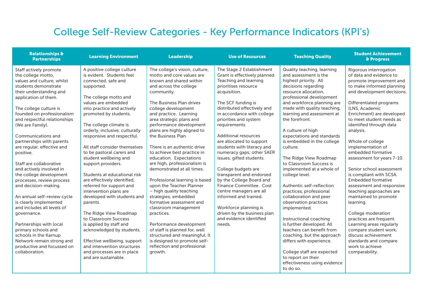# College Self-Review Categories - Key Performance Indicators (KPI's)

| <b>Relationships &amp;</b><br><b>Partnerships</b>                                                                                                                                                                                                                                                                                                                                                                                                                                                                                                                                                                                                                                                                                                                    | <b>Learning Environment</b>                                                                                                                                                                                                                                                                                                                                                                                                                                                                                                                                                                                                                                                                                                                                                                               | Leadership                                                                                                                                                                                                                                                                                                                                                                                                                                                                                                                                                                                                                                                                                                                                                                                                                               | <b>Use of Resources</b>                                                                                                                                                                                                                                                                                                                                                                                                                                                                                                                                                                                                                                               | <b>Teaching Quality</b>                                                                                                                                                                                                                                                                                                                                                                                                                                                                                                                                                                                                                                                                                                                                                                                                            | <b>Student Achievement</b><br>& Progress                                                                                                                                                                                                                                                                                                                                                                                                                                                                                                                                                                                                                                                                                                                        |
|----------------------------------------------------------------------------------------------------------------------------------------------------------------------------------------------------------------------------------------------------------------------------------------------------------------------------------------------------------------------------------------------------------------------------------------------------------------------------------------------------------------------------------------------------------------------------------------------------------------------------------------------------------------------------------------------------------------------------------------------------------------------|-----------------------------------------------------------------------------------------------------------------------------------------------------------------------------------------------------------------------------------------------------------------------------------------------------------------------------------------------------------------------------------------------------------------------------------------------------------------------------------------------------------------------------------------------------------------------------------------------------------------------------------------------------------------------------------------------------------------------------------------------------------------------------------------------------------|------------------------------------------------------------------------------------------------------------------------------------------------------------------------------------------------------------------------------------------------------------------------------------------------------------------------------------------------------------------------------------------------------------------------------------------------------------------------------------------------------------------------------------------------------------------------------------------------------------------------------------------------------------------------------------------------------------------------------------------------------------------------------------------------------------------------------------------|-----------------------------------------------------------------------------------------------------------------------------------------------------------------------------------------------------------------------------------------------------------------------------------------------------------------------------------------------------------------------------------------------------------------------------------------------------------------------------------------------------------------------------------------------------------------------------------------------------------------------------------------------------------------------|------------------------------------------------------------------------------------------------------------------------------------------------------------------------------------------------------------------------------------------------------------------------------------------------------------------------------------------------------------------------------------------------------------------------------------------------------------------------------------------------------------------------------------------------------------------------------------------------------------------------------------------------------------------------------------------------------------------------------------------------------------------------------------------------------------------------------------|-----------------------------------------------------------------------------------------------------------------------------------------------------------------------------------------------------------------------------------------------------------------------------------------------------------------------------------------------------------------------------------------------------------------------------------------------------------------------------------------------------------------------------------------------------------------------------------------------------------------------------------------------------------------------------------------------------------------------------------------------------------------|
| Staff actively promote<br>the college motto,<br>values and culture, whilst<br>students demonstrate<br>their understanding and<br>application of them.<br>The college culture is<br>founded on professionalism<br>and respectful relationships<br>(We are Family).<br>Communications and<br>partnerships with parents<br>are regular, effective and<br>positive.<br>Staff are collaborative<br>and actively involved in<br>the college development<br>processes, review process<br>and decision-making.<br>An annual self-review cycle<br>is clearly implemented<br>and includes all levels of<br>governance.<br>Partnerships with local<br>primary schools and<br>schools in the Karnup<br>Network remain strong and<br>productive and focussed on<br>collaboration. | A positive college culture<br>is evident. Students feel<br>connected, safe and<br>supported.<br>The college motto and<br>values are embedded<br>into practice and actively<br>promoted by students.<br>The college climate is<br>orderly, inclusive, culturally<br>responsive and respectful.<br>All staff consider themselves<br>to be pastoral carers and<br>student wellbeing and<br>support providers.<br>Students at educational risk<br>are effectively identified,<br>referred for support and<br>intervention plans are<br>developed with students and<br>parents.<br>The Ridge View Roadmap<br>to Classroom Success<br>is applied by staff and<br>acknowledged by students.<br>Effective wellbeing, support<br>and intervention structures<br>and processes are in place<br>and are sustainable. | The college's vision, culture,<br>motto and core values are<br>known and shared within<br>and across the college<br>community.<br>The Business Plan drives<br>college development<br>and practice. Learning<br>area strategic plans and<br>performance development<br>plans are highly aligned to<br>the Business Plan.<br>There is an authentic drive<br>to achieve best practice in<br>education. Expectations<br>are high, professionalism is<br>demonstrated at all times.<br>Professional learning is based<br>upon the Teacher Planner<br>- high quality teaching<br>strategies; embedded<br>formative assessment and<br>classroom management<br>practices.<br>Performance development<br>of staff is planned for, well<br>structured and meaningful. It<br>is designed to promote self-<br>reflection and professional<br>growth. | The Stage 2 Establishment<br>Grant is effectively planned.<br>Teaching and learning<br>prioritises resource<br>acquisition.<br>The SCF funding is<br>distributed effectively and<br>in accordance with college<br>priorities and system<br>requirements.<br><b>Additional resources</b><br>are allocated to support<br>students with literacy and<br>numeracy gaps; other SAER<br>issues; gifted students.<br>College budgets are<br>transparent and endorsed<br>by the College Board and<br>Finance Committee. Cost<br>centre managers are all<br>informed and trained.<br>Workforce planning is<br>driven by the business plan<br>and evidence identified<br>needs. | Quality teaching, learning<br>and assessment is the<br>highest priority. All<br>decisions regarding<br>resource allocation.<br>professional development<br>and workforce planning are<br>made with quality teaching,<br>learning and assessment at<br>the forefront.<br>A culture of high<br>expectations and standards<br>is embedded in the college<br>culture.<br>The Ridge View Roadmap<br>to Classroom Success is<br>implemented at a whole of<br>college level.<br>Authentic self-reflection<br>practices, professional<br>collaboration and peer<br>observation practices<br>implemented.<br>Instructional coaching<br>is further developed. All<br>teachers can benefit from<br>coaching, but the approach<br>differs with experience.<br>College staff are expected<br>to report on their<br>effectiveness using evidence | Rigorous interrogation<br>of data and evidence to<br>promote improvement and<br>to make informed planning<br>and development decisions.<br>Differentiated programs<br>(LNS, Academic<br>Enrichment) are developed<br>to meet student needs as<br>identified through data<br>analysis.<br>Whole of college<br>implementation of<br>embedded formative<br>assessment for years 7-10.<br>Senior school assessment<br>is compliant with SCSA.<br><b>Embedded formative</b><br>assessment and responsive<br>teaching approaches are<br>maintained to promote<br>learning.<br>College moderation<br>practices are frequent.<br>Learning areas regularly<br>compare student work,<br>discuss achievement<br>standards and compare<br>work to achieve<br>comparability. |
|                                                                                                                                                                                                                                                                                                                                                                                                                                                                                                                                                                                                                                                                                                                                                                      |                                                                                                                                                                                                                                                                                                                                                                                                                                                                                                                                                                                                                                                                                                                                                                                                           |                                                                                                                                                                                                                                                                                                                                                                                                                                                                                                                                                                                                                                                                                                                                                                                                                                          |                                                                                                                                                                                                                                                                                                                                                                                                                                                                                                                                                                                                                                                                       | to do so.                                                                                                                                                                                                                                                                                                                                                                                                                                                                                                                                                                                                                                                                                                                                                                                                                          |                                                                                                                                                                                                                                                                                                                                                                                                                                                                                                                                                                                                                                                                                                                                                                 |